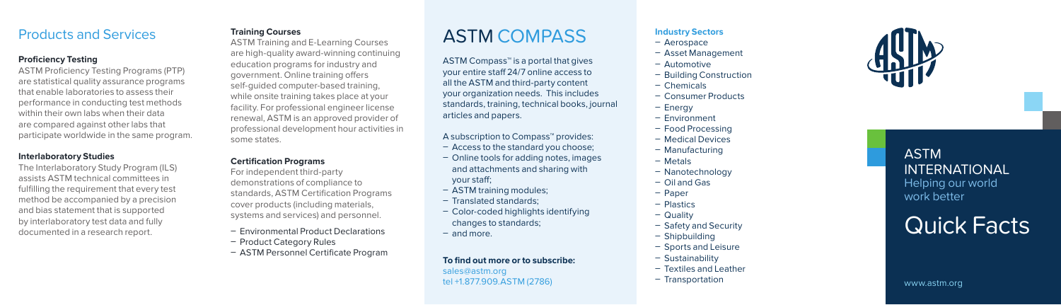## Products and Services

### **Proficiency Testing**

ASTM Proficiency Testing Programs (PTP) are statistical quality assurance programs that enable laboratories to assess their performance in conducting test methods within their own labs when their data are compared against other labs that participate worldwide in the same program.

### **Interlaboratory Studies**

The Interlaboratory Study Program (ILS) assists ASTM technical committees in fulfilling the requirement that every test method be accompanied by a precision and bias statement that is supported by interlaboratory test data and fully documented in a research report.

### **Training Courses**

ASTM Training and E-Learning Courses are high-quality award-winning continuing education programs for industry and government. Online training offers self-guided computer-based training, while onsite training takes place at your facility. For professional engineer license renewal, ASTM is an approved provider of professional development hour activities in some states.

### **Certification Programs**

For independent third-party demonstrations of compliance to standards, ASTM Certification Programs cover products (including materials, systems and services) and personnel.

- Environmental Product Declarations Product Category Rules
- 
- ASTM Personnel Certificate Program

# ASTM COMPASS

ASTM Compass™ is a portal that gives your entire staff 24/7 online access to all the ASTM and third-party content your organization needs. This includes standards, training, technical books, journal articles and papers.

### A subscription to Compass ™ provides:

- Access to the standard you choose;
- Online tools for adding notes, images and attachments and sharing with your staff;
- ASTM training modules;
- Translated standards;
- Color-coded highlights identifying changes to standards;
- and more.

To find out more or to subscribe: sales@astm.org tel +1.877.909.ASTM (2786)

### **Industry Sectors**

- Aerospace
- Asset Management
- Automotive
- Building Construction
- Chemicals
- Consumer Products
- Energy
- Environment
- Food Processing
- Medical Devices
- Manufacturing
- Metals
- Nanotechnology
- Oil and Gas
- Paper
- Plastics
- Quality
- Safety and Security
- Shipbuilding
- Sports and Leisure
- Sustainability
- Textiles and Leather
- Transportation



ASTM INTERNATIONAL Helping our world work better

Quick Facts

www.astm.org